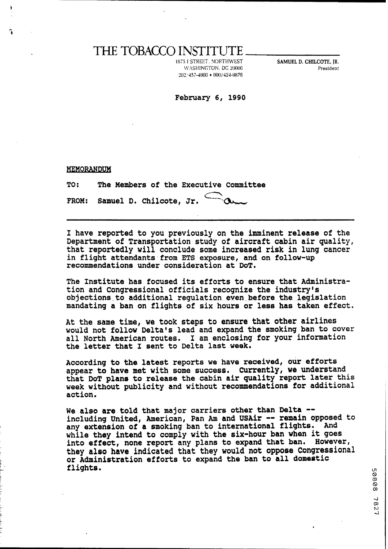## THE TOBACCO INSTITUTE

 $\sqrt{2}$  20006 **202,'457-4800 IKN1/424.!4B78**  **111899 SAMUEL D. CHILCOTE, JR. President** 

## **February 6, 1990**

| TO: The Members of the Executive Committee        |
|---------------------------------------------------|
| FROM: Samuel D. Chilcote, Jr. $\bigcirc$ $\alpha$ |

**I have reported to you previously on the imminent release of the Department of Transportation study of aircraft cabin air quality, that reportedly will conclude some increased risk in lung cancer in flight attendants.from ETS exposure, and on follow-up recommendations under consideration at DOT.** 

**The Institute has focused its efforts to ensure that Administration and Congressional officials recognize the industry's objectionsto~lltditional regulation even-before the legislation mandating a ban on flights of six hours or less has taken effect.** 

**At the same time, we took steps to ensure that other airlines would not follow Delta's lead and expand the smoking ban to cover all North American routes. I am enclosing for your information the letter that I sent to Delta last week,** 

**According to the latest reports we have received, our efforts appear to have met with some success. Currently, we understand that DOT plane to release the cabin air quality report later this week without publicity and without recommendations for additional action,** 

**We also are told that major carriers other than Delta** - **including United, American, Pan Am and USAir** -- **remain opposed to**  any extension of a smoking ban to international flights. **while they intend to comply with the aix-hour ban when it goes into effect, none report any plans to expand that ban. However, they also have indicated that they would not oppose Congressional or Adminitatration efforts to expand the ban to all domestic flights.** a